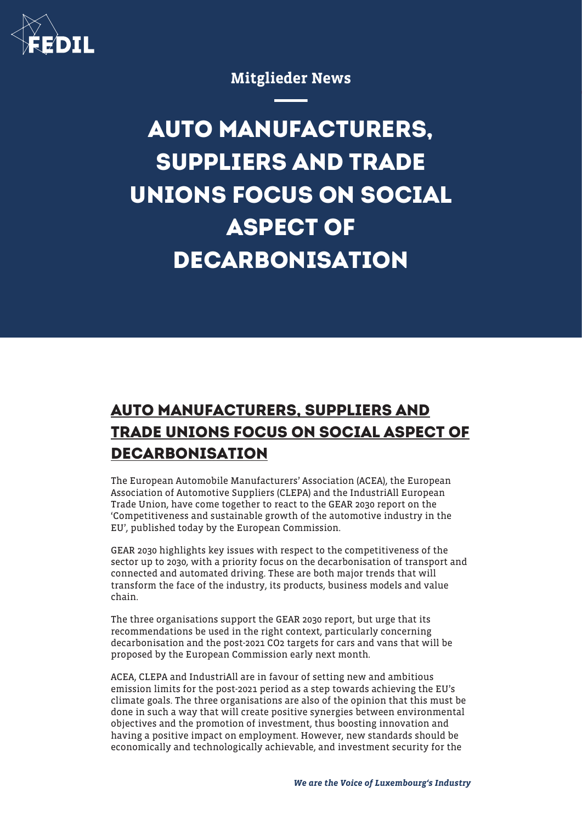

Mitglieder News

## **AUTO MANUFACTURERS, SUPPLIERS AND TRADE UNIONS FOCUS ON SOCIAL ASPECT OF DECARBONISATION**

## **AUTO MANUFACTURERS, SUPPLIERS AND TRADE UNIONS FOCUS ON SOCIAL ASPECT OF DECARBONISATION**

The European Automobile Manufacturers' Association (ACEA), the European Association of Automotive Suppliers (CLEPA) and the IndustriAll European Trade Union, have come together to react to the GEAR 2030 report on the 'Competitiveness and sustainable growth of the automotive industry in the EU', published today by the European Commission.

GEAR 2030 highlights key issues with respect to the competitiveness of the sector up to 2030, with a priority focus on the decarbonisation of transport and connected and automated driving. These are both major trends that will transform the face of the industry, its products, business models and value chain.

The three organisations support the GEAR 2030 report, but urge that its recommendations be used in the right context, particularly concerning decarbonisation and the post-2021 CO2 targets for cars and vans that will be proposed by the European Commission early next month.

ACEA, CLEPA and IndustriAll are in favour of setting new and ambitious emission limits for the post-2021 period as a step towards achieving the EU's climate goals. The three organisations are also of the opinion that this must be done in such a way that will create positive synergies between environmental objectives and the promotion of investment, thus boosting innovation and having a positive impact on employment. However, new standards should be economically and technologically achievable, and investment security for the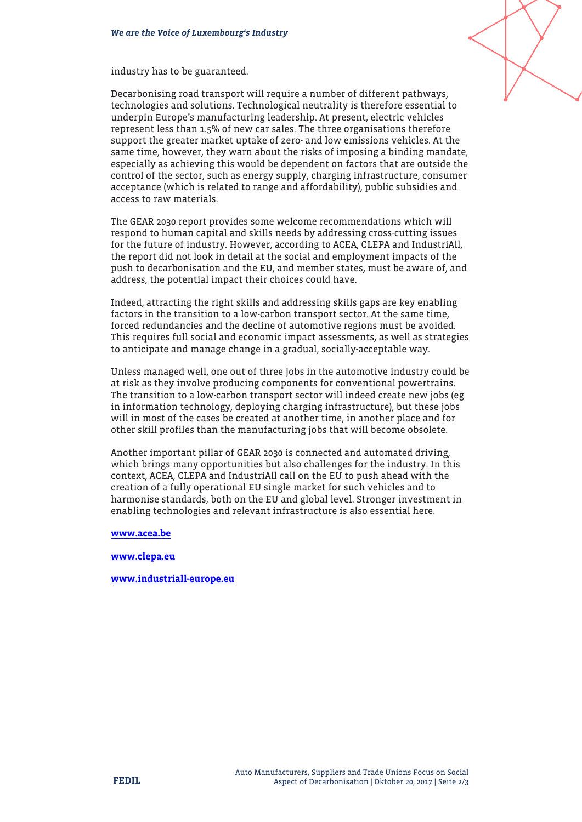industry has to be guaranteed.



The GEAR 2030 report provides some welcome recommendations which will respond to human capital and skills needs by addressing cross-cutting issues for the future of industry. However, according to ACEA, CLEPA and IndustriAll, the report did not look in detail at the social and employment impacts of the push to decarbonisation and the EU, and member states, must be aware of, and address, the potential impact their choices could have.

Indeed, attracting the right skills and addressing skills gaps are key enabling factors in the transition to a low-carbon transport sector. At the same time, forced redundancies and the decline of automotive regions must be avoided. This requires full social and economic impact assessments, as well as strategies to anticipate and manage change in a gradual, socially-acceptable way.

Unless managed well, one out of three jobs in the automotive industry could be at risk as they involve producing components for conventional powertrains. The transition to a low-carbon transport sector will indeed create new jobs (eg in information technology, deploying charging infrastructure), but these jobs will in most of the cases be created at another time, in another place and for other skill profiles than the manufacturing jobs that will become obsolete.

Another important pillar of GEAR 2030 is connected and automated driving, which brings many opportunities but also challenges for the industry. In this context, ACEA, CLEPA and IndustriAll call on the EU to push ahead with the creation of a fully operational EU single market for such vehicles and to harmonise standards, both on the EU and global level. Stronger investment in enabling technologies and relevant infrastructure is also essential here.

[www.acea.be](http://www.acea.be)

[www.clepa.eu](http://www.clepa.eu)

[www.industriall-europe.eu](http://www.industriall-europe.eu)